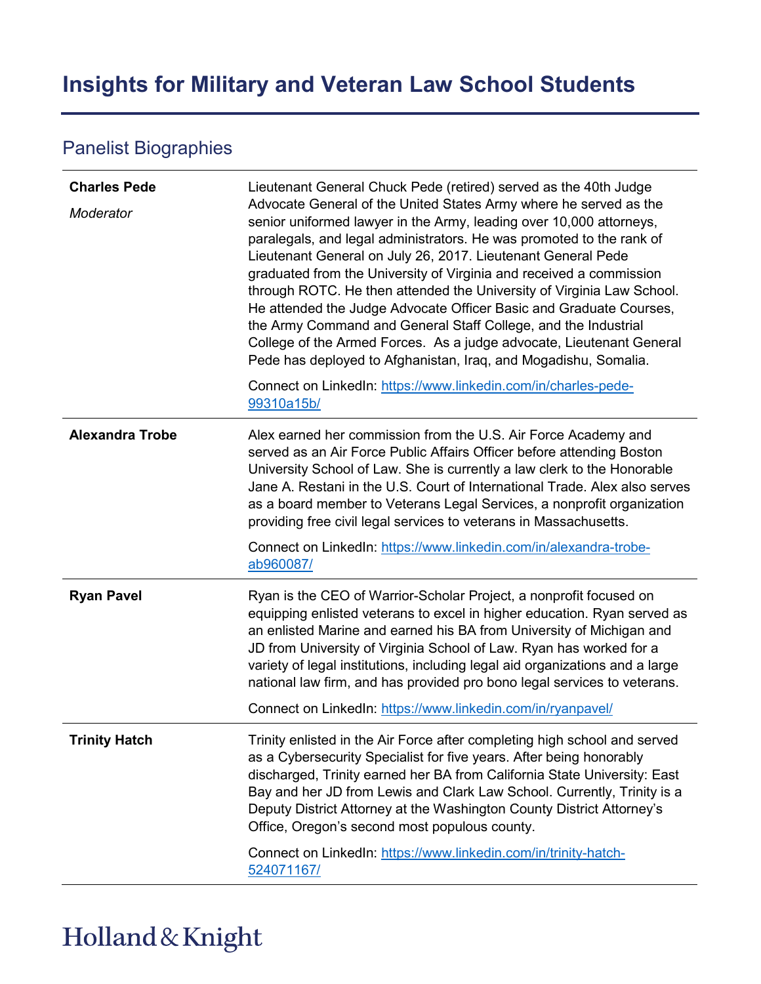## **Insights for Military and Veteran Law School Students**

## Panelist Biographies

| <b>Charles Pede</b><br>Moderator | Lieutenant General Chuck Pede (retired) served as the 40th Judge<br>Advocate General of the United States Army where he served as the<br>senior uniformed lawyer in the Army, leading over 10,000 attorneys,<br>paralegals, and legal administrators. He was promoted to the rank of<br>Lieutenant General on July 26, 2017. Lieutenant General Pede<br>graduated from the University of Virginia and received a commission<br>through ROTC. He then attended the University of Virginia Law School.<br>He attended the Judge Advocate Officer Basic and Graduate Courses,<br>the Army Command and General Staff College, and the Industrial<br>College of the Armed Forces. As a judge advocate, Lieutenant General<br>Pede has deployed to Afghanistan, Iraq, and Mogadishu, Somalia.<br>Connect on LinkedIn: https://www.linkedin.com/in/charles-pede-<br>99310a15b/ |
|----------------------------------|-------------------------------------------------------------------------------------------------------------------------------------------------------------------------------------------------------------------------------------------------------------------------------------------------------------------------------------------------------------------------------------------------------------------------------------------------------------------------------------------------------------------------------------------------------------------------------------------------------------------------------------------------------------------------------------------------------------------------------------------------------------------------------------------------------------------------------------------------------------------------|
| <b>Alexandra Trobe</b>           | Alex earned her commission from the U.S. Air Force Academy and<br>served as an Air Force Public Affairs Officer before attending Boston<br>University School of Law. She is currently a law clerk to the Honorable<br>Jane A. Restani in the U.S. Court of International Trade. Alex also serves<br>as a board member to Veterans Legal Services, a nonprofit organization<br>providing free civil legal services to veterans in Massachusetts.<br>Connect on LinkedIn: https://www.linkedin.com/in/alexandra-trobe-<br>ab960087/                                                                                                                                                                                                                                                                                                                                       |
| <b>Ryan Pavel</b>                | Ryan is the CEO of Warrior-Scholar Project, a nonprofit focused on<br>equipping enlisted veterans to excel in higher education. Ryan served as<br>an enlisted Marine and earned his BA from University of Michigan and<br>JD from University of Virginia School of Law. Ryan has worked for a<br>variety of legal institutions, including legal aid organizations and a large<br>national law firm, and has provided pro bono legal services to veterans.<br>Connect on LinkedIn: https://www.linkedin.com/in/ryanpavel/                                                                                                                                                                                                                                                                                                                                                |
| <b>Trinity Hatch</b>             | Trinity enlisted in the Air Force after completing high school and served<br>as a Cybersecurity Specialist for five years. After being honorably<br>discharged, Trinity earned her BA from California State University: East<br>Bay and her JD from Lewis and Clark Law School. Currently, Trinity is a<br>Deputy District Attorney at the Washington County District Attorney's<br>Office, Oregon's second most populous county.<br>Connect on LinkedIn: https://www.linkedin.com/in/trinity-hatch-<br>524071167/                                                                                                                                                                                                                                                                                                                                                      |

## Holland & Knight